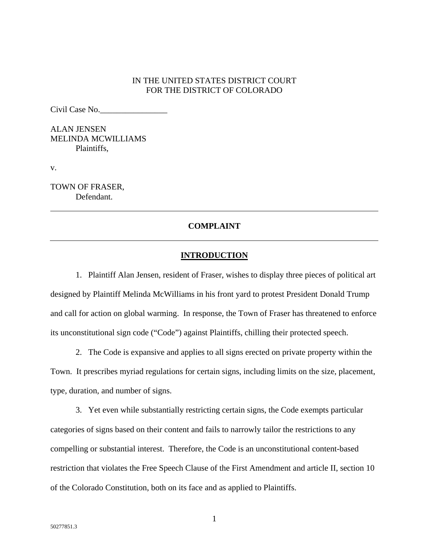### IN THE UNITED STATES DISTRICT COURT FOR THE DISTRICT OF COLORADO

Civil Case No.\_\_\_\_\_\_\_\_\_\_\_\_\_\_\_\_

ALAN JENSEN MELINDA MCWILLIAMS Plaintiffs,

v.

TOWN OF FRASER, Defendant.

## **COMPLAINT**

### **INTRODUCTION**

1. Plaintiff Alan Jensen, resident of Fraser, wishes to display three pieces of political art designed by Plaintiff Melinda McWilliams in his front yard to protest President Donald Trump and call for action on global warming. In response, the Town of Fraser has threatened to enforce its unconstitutional sign code ("Code") against Plaintiffs, chilling their protected speech.

2. The Code is expansive and applies to all signs erected on private property within the

Town. It prescribes myriad regulations for certain signs, including limits on the size, placement, type, duration, and number of signs.

3. Yet even while substantially restricting certain signs, the Code exempts particular categories of signs based on their content and fails to narrowly tailor the restrictions to any compelling or substantial interest. Therefore, the Code is an unconstitutional content-based restriction that violates the Free Speech Clause of the First Amendment and article II, section 10 of the Colorado Constitution, both on its face and as applied to Plaintiffs.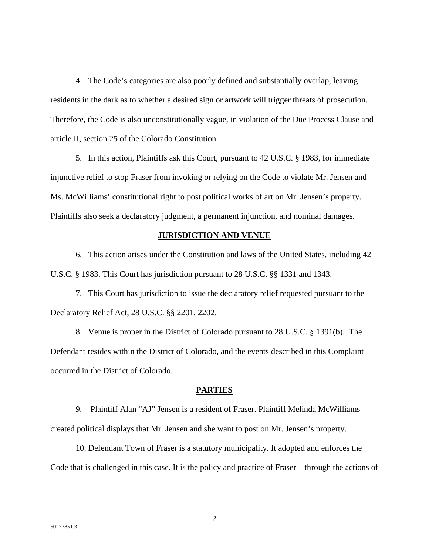4. The Code's categories are also poorly defined and substantially overlap, leaving residents in the dark as to whether a desired sign or artwork will trigger threats of prosecution. Therefore, the Code is also unconstitutionally vague, in violation of the Due Process Clause and article II, section 25 of the Colorado Constitution.

5. In this action, Plaintiffs ask this Court, pursuant to 42 U.S.C. § 1983, for immediate injunctive relief to stop Fraser from invoking or relying on the Code to violate Mr. Jensen and Ms. McWilliams' constitutional right to post political works of art on Mr. Jensen's property. Plaintiffs also seek a declaratory judgment, a permanent injunction, and nominal damages.

### **JURISDICTION AND VENUE**

6. This action arises under the Constitution and laws of the United States, including 42 U.S.C. § 1983. This Court has jurisdiction pursuant to 28 U.S.C. §§ 1331 and 1343.

7. This Court has jurisdiction to issue the declaratory relief requested pursuant to the Declaratory Relief Act, 28 U.S.C. §§ 2201, 2202.

8. Venue is proper in the District of Colorado pursuant to 28 U.S.C. § 1391(b). The Defendant resides within the District of Colorado, and the events described in this Complaint occurred in the District of Colorado.

#### **PARTIES**

9. Plaintiff Alan "AJ" Jensen is a resident of Fraser. Plaintiff Melinda McWilliams created political displays that Mr. Jensen and she want to post on Mr. Jensen's property.

10. Defendant Town of Fraser is a statutory municipality. It adopted and enforces the Code that is challenged in this case. It is the policy and practice of Fraser—through the actions of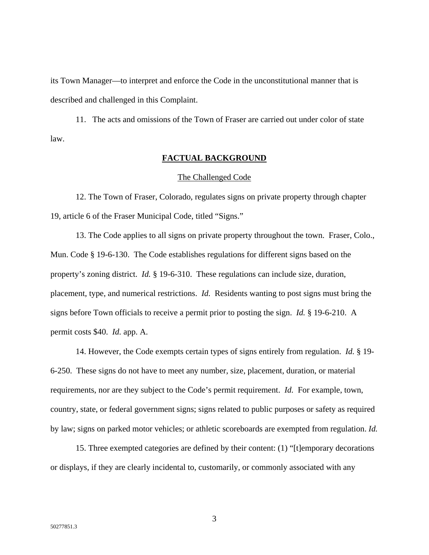its Town Manager—to interpret and enforce the Code in the unconstitutional manner that is described and challenged in this Complaint.

11. The acts and omissions of the Town of Fraser are carried out under color of state law.

### **FACTUAL BACKGROUND**

#### The Challenged Code

12. The Town of Fraser, Colorado, regulates signs on private property through chapter 19, article 6 of the Fraser Municipal Code, titled "Signs."

13. The Code applies to all signs on private property throughout the town. Fraser, Colo., Mun. Code § 19-6-130. The Code establishes regulations for different signs based on the property's zoning district. *Id.* § 19-6-310. These regulations can include size, duration, placement, type, and numerical restrictions. *Id.* Residents wanting to post signs must bring the signs before Town officials to receive a permit prior to posting the sign. *Id.* § 19-6-210. A permit costs \$40. *Id.* app. A.

14. However, the Code exempts certain types of signs entirely from regulation. *Id.* § 19- 6-250. These signs do not have to meet any number, size, placement, duration, or material requirements, nor are they subject to the Code's permit requirement. *Id.* For example, town, country, state, or federal government signs; signs related to public purposes or safety as required by law; signs on parked motor vehicles; or athletic scoreboards are exempted from regulation. *Id.* 

15. Three exempted categories are defined by their content: (1) "[t]emporary decorations or displays, if they are clearly incidental to, customarily, or commonly associated with any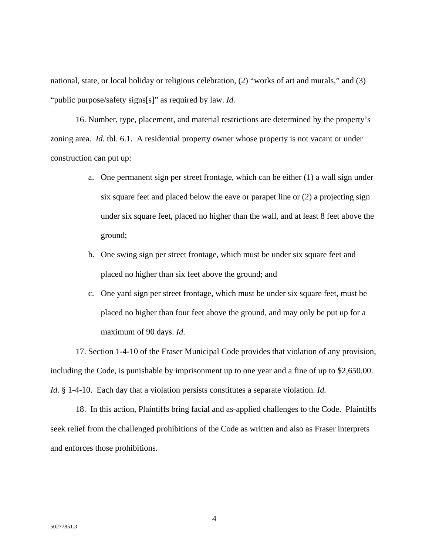national, state, or local holiday or religious celebration, (2) "works of art and murals," and (3) "public purpose/safety signs[s]" as required by law. *Id.* 

16. Number, type, placement, and material restrictions are determined by the property's zoning area. *Id.* tbl. 6.1. A residential property owner whose property is not vacant or under construction can put up:

- a. One permanent sign per street frontage, which can be either (1) a wall sign under six square feet and placed below the eave or parapet line or (2) a projecting sign under six square feet, placed no higher than the wall, and at least 8 feet above the ground;
- b. One swing sign per street frontage, which must be under six square feet and placed no higher than six feet above the ground; and
- c. One yard sign per street frontage, which must be under six square feet, must be placed no higher than four feet above the ground, and may only be put up for a maximum of 90 days. *Id.*

17. Section 1-4-10 of the Fraser Municipal Code provides that violation of any provision, including the Code, is punishable by imprisonment up to one year and a fine of up to \$2,650.00. *Id.* § 1-4-10. Each day that a violation persists constitutes a separate violation. *Id.* 

18. In this action, Plaintiffs bring facial and as-applied challenges to the Code. Plaintiffs seek relief from the challenged prohibitions of the Code as written and also as Fraser interprets and enforces those prohibitions.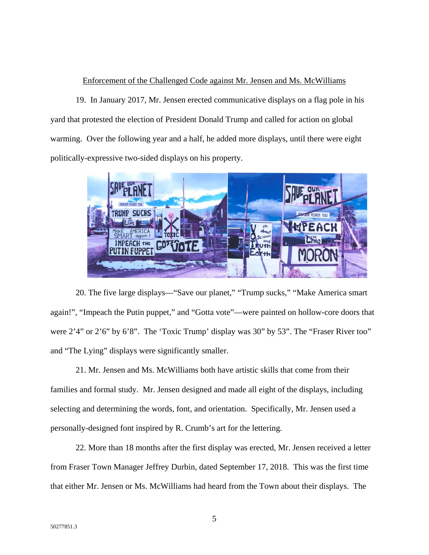## Enforcement of the Challenged Code against Mr. Jensen and Ms. McWilliams

19. In January 2017, Mr. Jensen erected communicative displays on a flag pole in his yard that protested the election of President Donald Trump and called for action on global warming. Over the following year and a half, he added more displays, until there were eight politically-expressive two-sided displays on his property.



20. The five large displays—"Save our planet," "Trump sucks," "Make America smart again!", "Impeach the Putin puppet," and "Gotta vote"—were painted on hollow-core doors that were 2'4" or 2'6" by 6'8". The 'Toxic Trump' display was 30" by 53". The "Fraser River too" and "The Lying" displays were significantly smaller.

21. Mr. Jensen and Ms. McWilliams both have artistic skills that come from their families and formal study. Mr. Jensen designed and made all eight of the displays, including selecting and determining the words, font, and orientation. Specifically, Mr. Jensen used a personally-designed font inspired by R. Crumb's art for the lettering.

22. More than 18 months after the first display was erected, Mr. Jensen received a letter from Fraser Town Manager Jeffrey Durbin, dated September 17, 2018. This was the first time that either Mr. Jensen or Ms. McWilliams had heard from the Town about their displays. The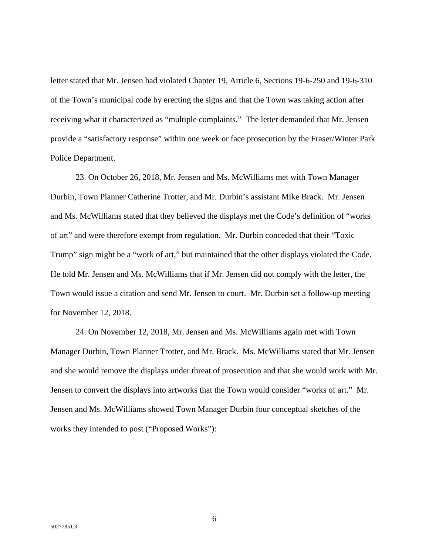letter stated that Mr. Jensen had violated Chapter 19, Article 6, Sections 19-6-250 and 19-6-310 of the Town's municipal code by erecting the signs and that the Town was taking action after receiving what it characterized as "multiple complaints." The letter demanded that Mr. Jensen provide a "satisfactory response" within one week or face prosecution by the Fraser/Winter Park Police Department.

23. On October 26, 2018, Mr. Jensen and Ms. McWilliams met with Town Manager Durbin, Town Planner Catherine Trotter, and Mr. Durbin's assistant Mike Brack. Mr. Jensen and Ms. McWilliams stated that they believed the displays met the Code's definition of "works of art" and were therefore exempt from regulation. Mr. Durbin conceded that their "Toxic Trump" sign might be a "work of art," but maintained that the other displays violated the Code. He told Mr. Jensen and Ms. McWilliams that if Mr. Jensen did not comply with the letter, the Town would issue a citation and send Mr. Jensen to court. Mr. Durbin set a follow-up meeting for November 12, 2018.

24. On November 12, 2018, Mr. Jensen and Ms. McWilliams again met with Town Manager Durbin, Town Planner Trotter, and Mr. Brack. Ms. McWilliams stated that Mr. Jensen and she would remove the displays under threat of prosecution and that she would work with Mr. Jensen to convert the displays into artworks that the Town would consider "works of art." Mr. Jensen and Ms. McWilliams showed Town Manager Durbin four conceptual sketches of the works they intended to post ("Proposed Works"):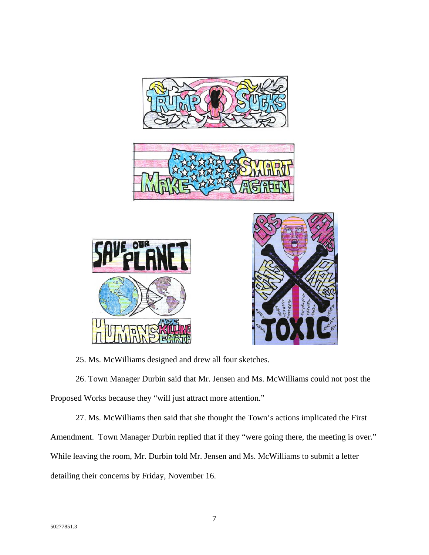





25. Ms. McWilliams designed and drew all four sketches.

26. Town Manager Durbin said that Mr. Jensen and Ms. McWilliams could not post the Proposed Works because they "will just attract more attention."

27. Ms. McWilliams then said that she thought the Town's actions implicated the First Amendment. Town Manager Durbin replied that if they "were going there, the meeting is over." While leaving the room, Mr. Durbin told Mr. Jensen and Ms. McWilliams to submit a letter detailing their concerns by Friday, November 16.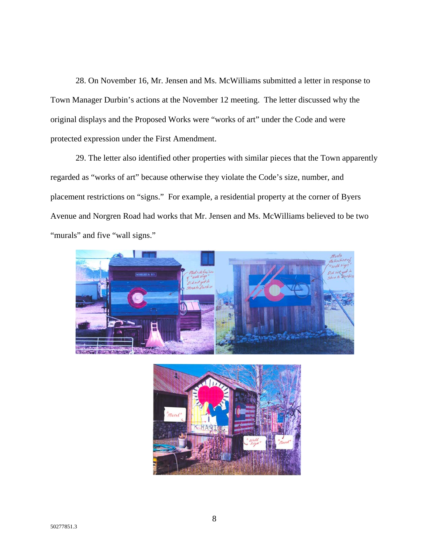28. On November 16, Mr. Jensen and Ms. McWilliams submitted a letter in response to Town Manager Durbin's actions at the November 12 meeting. The letter discussed why the original displays and the Proposed Works were "works of art" under the Code and were protected expression under the First Amendment.

29. The letter also identified other properties with similar pieces that the Town apparently regarded as "works of art" because otherwise they violate the Code's size, number, and placement restrictions on "signs." For example, a residential property at the corner of Byers Avenue and Norgren Road had works that Mr. Jensen and Ms. McWilliams believed to be two "murals" and five "wall signs."



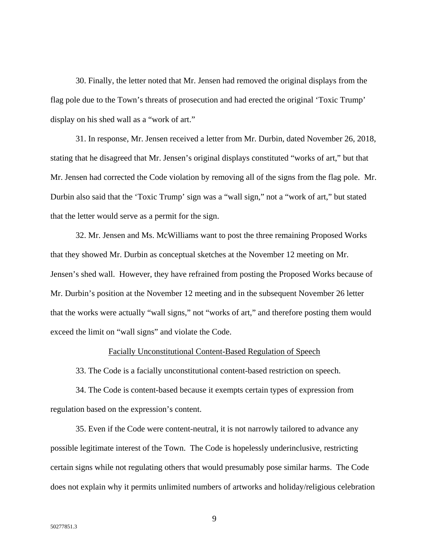30. Finally, the letter noted that Mr. Jensen had removed the original displays from the flag pole due to the Town's threats of prosecution and had erected the original 'Toxic Trump' display on his shed wall as a "work of art."

31. In response, Mr. Jensen received a letter from Mr. Durbin, dated November 26, 2018, stating that he disagreed that Mr. Jensen's original displays constituted "works of art," but that Mr. Jensen had corrected the Code violation by removing all of the signs from the flag pole. Mr. Durbin also said that the 'Toxic Trump' sign was a "wall sign," not a "work of art," but stated that the letter would serve as a permit for the sign.

32. Mr. Jensen and Ms. McWilliams want to post the three remaining Proposed Works that they showed Mr. Durbin as conceptual sketches at the November 12 meeting on Mr. Jensen's shed wall. However, they have refrained from posting the Proposed Works because of Mr. Durbin's position at the November 12 meeting and in the subsequent November 26 letter that the works were actually "wall signs," not "works of art," and therefore posting them would exceed the limit on "wall signs" and violate the Code.

#### Facially Unconstitutional Content-Based Regulation of Speech

33. The Code is a facially unconstitutional content-based restriction on speech.

34. The Code is content-based because it exempts certain types of expression from regulation based on the expression's content.

35. Even if the Code were content-neutral, it is not narrowly tailored to advance any possible legitimate interest of the Town. The Code is hopelessly underinclusive, restricting certain signs while not regulating others that would presumably pose similar harms. The Code does not explain why it permits unlimited numbers of artworks and holiday/religious celebration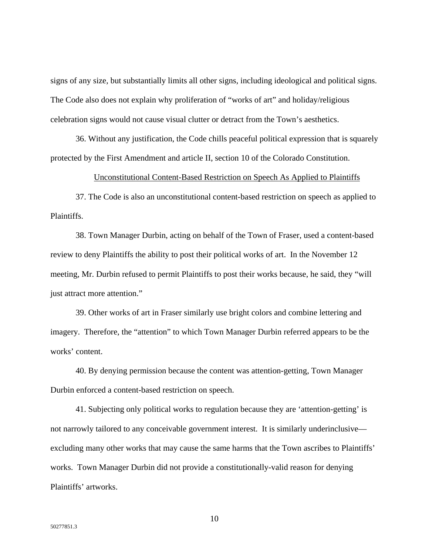signs of any size, but substantially limits all other signs, including ideological and political signs. The Code also does not explain why proliferation of "works of art" and holiday/religious celebration signs would not cause visual clutter or detract from the Town's aesthetics.

36. Without any justification, the Code chills peaceful political expression that is squarely protected by the First Amendment and article II, section 10 of the Colorado Constitution.

#### Unconstitutional Content-Based Restriction on Speech As Applied to Plaintiffs

37. The Code is also an unconstitutional content-based restriction on speech as applied to Plaintiffs.

38. Town Manager Durbin, acting on behalf of the Town of Fraser, used a content-based review to deny Plaintiffs the ability to post their political works of art. In the November 12 meeting, Mr. Durbin refused to permit Plaintiffs to post their works because, he said, they "will just attract more attention."

39. Other works of art in Fraser similarly use bright colors and combine lettering and imagery. Therefore, the "attention" to which Town Manager Durbin referred appears to be the works' content.

40. By denying permission because the content was attention-getting, Town Manager Durbin enforced a content-based restriction on speech.

41. Subjecting only political works to regulation because they are 'attention-getting' is not narrowly tailored to any conceivable government interest. It is similarly underinclusive excluding many other works that may cause the same harms that the Town ascribes to Plaintiffs' works. Town Manager Durbin did not provide a constitutionally-valid reason for denying Plaintiffs' artworks.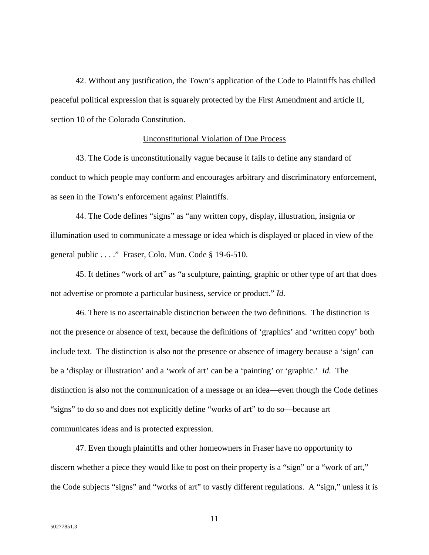42. Without any justification, the Town's application of the Code to Plaintiffs has chilled peaceful political expression that is squarely protected by the First Amendment and article II, section 10 of the Colorado Constitution.

### Unconstitutional Violation of Due Process

43. The Code is unconstitutionally vague because it fails to define any standard of conduct to which people may conform and encourages arbitrary and discriminatory enforcement, as seen in the Town's enforcement against Plaintiffs.

44. The Code defines "signs" as "any written copy, display, illustration, insignia or illumination used to communicate a message or idea which is displayed or placed in view of the general public . . . ." Fraser, Colo. Mun. Code § 19-6-510.

45. It defines "work of art" as "a sculpture, painting, graphic or other type of art that does not advertise or promote a particular business, service or product." *Id.*

46. There is no ascertainable distinction between the two definitions. The distinction is not the presence or absence of text, because the definitions of 'graphics' and 'written copy' both include text. The distinction is also not the presence or absence of imagery because a 'sign' can be a 'display or illustration' and a 'work of art' can be a 'painting' or 'graphic.' *Id.* The distinction is also not the communication of a message or an idea—even though the Code defines "signs" to do so and does not explicitly define "works of art" to do so—because art communicates ideas and is protected expression.

47. Even though plaintiffs and other homeowners in Fraser have no opportunity to discern whether a piece they would like to post on their property is a "sign" or a "work of art," the Code subjects "signs" and "works of art" to vastly different regulations. A "sign," unless it is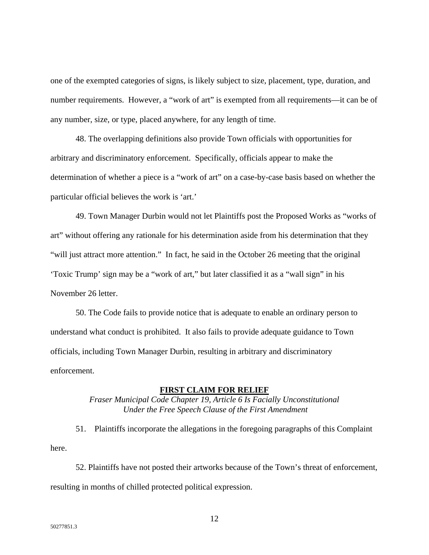one of the exempted categories of signs, is likely subject to size, placement, type, duration, and number requirements. However, a "work of art" is exempted from all requirements—it can be of any number, size, or type, placed anywhere, for any length of time.

48. The overlapping definitions also provide Town officials with opportunities for arbitrary and discriminatory enforcement. Specifically, officials appear to make the determination of whether a piece is a "work of art" on a case-by-case basis based on whether the particular official believes the work is 'art.'

49. Town Manager Durbin would not let Plaintiffs post the Proposed Works as "works of art" without offering any rationale for his determination aside from his determination that they "will just attract more attention." In fact, he said in the October 26 meeting that the original 'Toxic Trump' sign may be a "work of art," but later classified it as a "wall sign" in his November 26 letter.

50. The Code fails to provide notice that is adequate to enable an ordinary person to understand what conduct is prohibited. It also fails to provide adequate guidance to Town officials, including Town Manager Durbin, resulting in arbitrary and discriminatory enforcement.

### **FIRST CLAIM FOR RELIEF**

## *Fraser Municipal Code Chapter 19, Article 6 Is Facially Unconstitutional Under the Free Speech Clause of the First Amendment*

51. Plaintiffs incorporate the allegations in the foregoing paragraphs of this Complaint here.

52. Plaintiffs have not posted their artworks because of the Town's threat of enforcement, resulting in months of chilled protected political expression.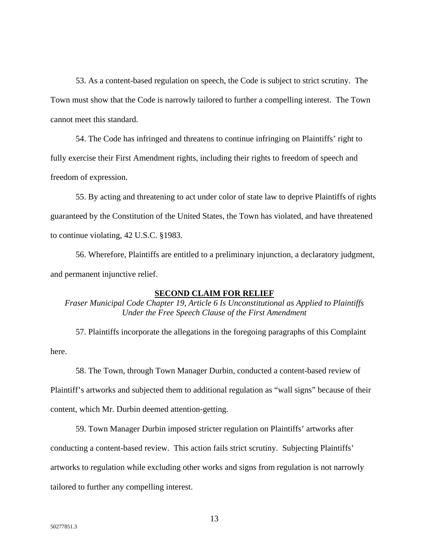53. As a content-based regulation on speech, the Code is subject to strict scrutiny. The Town must show that the Code is narrowly tailored to further a compelling interest. The Town cannot meet this standard.

54. The Code has infringed and threatens to continue infringing on Plaintiffs' right to fully exercise their First Amendment rights, including their rights to freedom of speech and freedom of expression.

55. By acting and threatening to act under color of state law to deprive Plaintiffs of rights guaranteed by the Constitution of the United States, the Town has violated, and have threatened to continue violating, 42 U.S.C. §1983.

56. Wherefore, Plaintiffs are entitled to a preliminary injunction, a declaratory judgment, and permanent injunctive relief.

### **SECOND CLAIM FOR RELIEF**

*Fraser Municipal Code Chapter 19, Article 6 Is Unconstitutional as Applied to Plaintiffs Under the Free Speech Clause of the First Amendment*

57. Plaintiffs incorporate the allegations in the foregoing paragraphs of this Complaint here.

58. The Town, through Town Manager Durbin, conducted a content-based review of Plaintiff's artworks and subjected them to additional regulation as "wall signs" because of their

content, which Mr. Durbin deemed attention-getting.

59. Town Manager Durbin imposed stricter regulation on Plaintiffs' artworks after

conducting a content-based review. This action fails strict scrutiny. Subjecting Plaintiffs'

artworks to regulation while excluding other works and signs from regulation is not narrowly

tailored to further any compelling interest.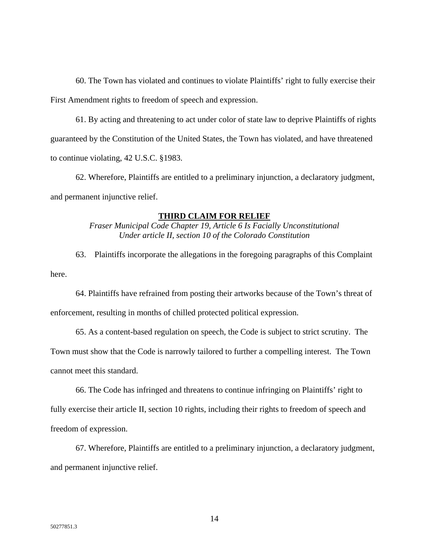60. The Town has violated and continues to violate Plaintiffs' right to fully exercise their First Amendment rights to freedom of speech and expression.

61. By acting and threatening to act under color of state law to deprive Plaintiffs of rights guaranteed by the Constitution of the United States, the Town has violated, and have threatened to continue violating, 42 U.S.C. §1983.

62. Wherefore, Plaintiffs are entitled to a preliminary injunction, a declaratory judgment, and permanent injunctive relief.

# **THIRD CLAIM FOR RELIEF**

*Fraser Municipal Code Chapter 19, Article 6 Is Facially Unconstitutional Under article II, section 10 of the Colorado Constitution* 

63. Plaintiffs incorporate the allegations in the foregoing paragraphs of this Complaint here.

64. Plaintiffs have refrained from posting their artworks because of the Town's threat of enforcement, resulting in months of chilled protected political expression.

65. As a content-based regulation on speech, the Code is subject to strict scrutiny. The

Town must show that the Code is narrowly tailored to further a compelling interest. The Town cannot meet this standard.

66. The Code has infringed and threatens to continue infringing on Plaintiffs' right to fully exercise their article II, section 10 rights, including their rights to freedom of speech and freedom of expression.

67. Wherefore, Plaintiffs are entitled to a preliminary injunction, a declaratory judgment, and permanent injunctive relief.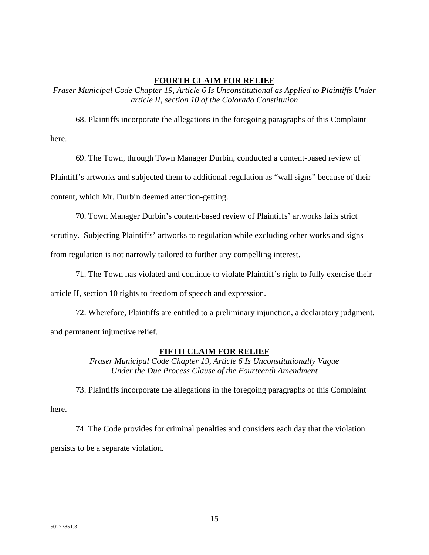### **FOURTH CLAIM FOR RELIEF**

*Fraser Municipal Code Chapter 19, Article 6 Is Unconstitutional as Applied to Plaintiffs Under article II, section 10 of the Colorado Constitution* 

68. Plaintiffs incorporate the allegations in the foregoing paragraphs of this Complaint here.

69. The Town, through Town Manager Durbin, conducted a content-based review of Plaintiff's artworks and subjected them to additional regulation as "wall signs" because of their content, which Mr. Durbin deemed attention-getting.

70. Town Manager Durbin's content-based review of Plaintiffs' artworks fails strict scrutiny. Subjecting Plaintiffs' artworks to regulation while excluding other works and signs from regulation is not narrowly tailored to further any compelling interest.

71. The Town has violated and continue to violate Plaintiff's right to fully exercise their article II, section 10 rights to freedom of speech and expression.

72. Wherefore, Plaintiffs are entitled to a preliminary injunction, a declaratory judgment, and permanent injunctive relief.

## **FIFTH CLAIM FOR RELIEF**

*Fraser Municipal Code Chapter 19, Article 6 Is Unconstitutionally Vague Under the Due Process Clause of the Fourteenth Amendment* 

73. Plaintiffs incorporate the allegations in the foregoing paragraphs of this Complaint here.

74. The Code provides for criminal penalties and considers each day that the violation persists to be a separate violation.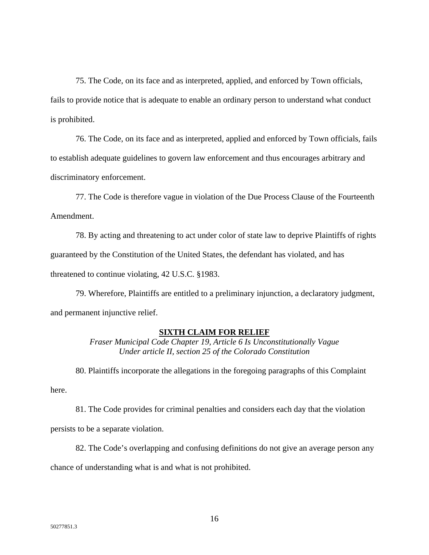75. The Code, on its face and as interpreted, applied, and enforced by Town officials, fails to provide notice that is adequate to enable an ordinary person to understand what conduct is prohibited.

76. The Code, on its face and as interpreted, applied and enforced by Town officials, fails to establish adequate guidelines to govern law enforcement and thus encourages arbitrary and discriminatory enforcement.

77. The Code is therefore vague in violation of the Due Process Clause of the Fourteenth Amendment.

78. By acting and threatening to act under color of state law to deprive Plaintiffs of rights guaranteed by the Constitution of the United States, the defendant has violated, and has threatened to continue violating, 42 U.S.C. §1983.

79. Wherefore, Plaintiffs are entitled to a preliminary injunction, a declaratory judgment, and permanent injunctive relief.

# **SIXTH CLAIM FOR RELIEF**

*Fraser Municipal Code Chapter 19, Article 6 Is Unconstitutionally Vague Under article II, section 25 of the Colorado Constitution* 

80. Plaintiffs incorporate the allegations in the foregoing paragraphs of this Complaint here.

81. The Code provides for criminal penalties and considers each day that the violation persists to be a separate violation.

82. The Code's overlapping and confusing definitions do not give an average person any chance of understanding what is and what is not prohibited.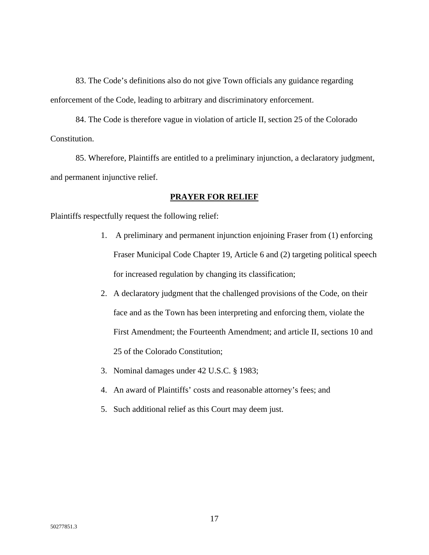83. The Code's definitions also do not give Town officials any guidance regarding enforcement of the Code, leading to arbitrary and discriminatory enforcement.

84. The Code is therefore vague in violation of article II, section 25 of the Colorado Constitution.

85. Wherefore, Plaintiffs are entitled to a preliminary injunction, a declaratory judgment, and permanent injunctive relief.

### **PRAYER FOR RELIEF**

Plaintiffs respectfully request the following relief:

- 1. A preliminary and permanent injunction enjoining Fraser from (1) enforcing Fraser Municipal Code Chapter 19, Article 6 and (2) targeting political speech for increased regulation by changing its classification;
- 2. A declaratory judgment that the challenged provisions of the Code, on their face and as the Town has been interpreting and enforcing them, violate the First Amendment; the Fourteenth Amendment; and article II, sections 10 and 25 of the Colorado Constitution;
- 3. Nominal damages under 42 U.S.C. § 1983;
- 4. An award of Plaintiffs' costs and reasonable attorney's fees; and
- 5. Such additional relief as this Court may deem just.